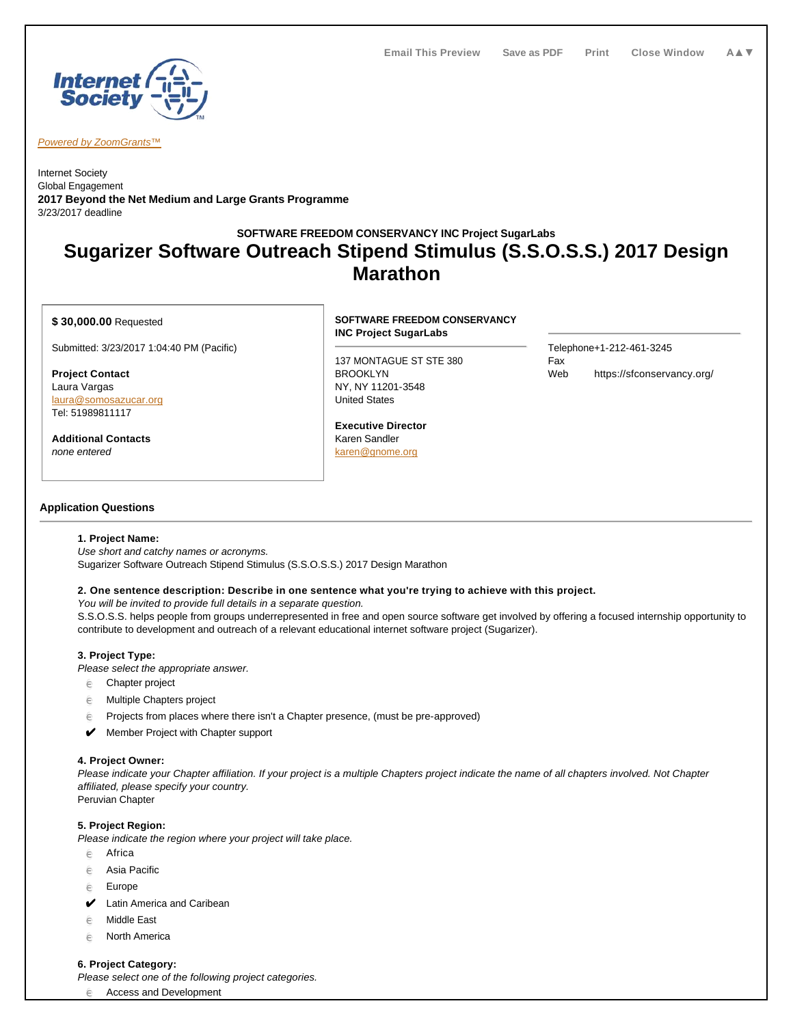

Powered by ZoomGrants™

Internet Society Global Engagement **2017 Beyond the Net Medium and Large Grants Programme** 3/23/2017 deadline

# **SOFTWARE FREEDOM CONSERVANCY INC Project SugarLabs Sugarizer Software Outreach Stipend Stimulus (S.S.O.S.S.) 2017 Design Marathon**

## **\$ 30,000.00** Requested

Submitted: 3/23/2017 1:04:40 PM (Pacific)

**Project Contact** Laura Vargas laura@somosazucar.org Tel: 51989811117

**Additional Contacts** none entered

# **SOFTWARE FREEDOM CONSERVANCY INC Project SugarLabs**

137 MONTAGUE ST STE 380 BROOKLYN NY, NY 11201-3548 United States

**Executive Director** Karen Sandler karen@gnome.org

Telephone+1-212-461-3245 Fax Web https://sfconservancy.org/

# **Application Questions**

## **1. Project Name:**

Use short and catchy names or acronyms. Sugarizer Software Outreach Stipend Stimulus (S.S.O.S.S.) 2017 Design Marathon

### **2. One sentence description: Describe in one sentence what you're trying to achieve with this project.**

You will be invited to provide full details in a separate question.

S.S.O.S.S. helps people from groups underrepresented in free and open source software get involved by offering a focused internship opportunity to contribute to development and outreach of a relevant educational internet software project (Sugarizer).

# **3. Project Type:**

Please select the appropriate answer.

- $e$  Chapter project
- $e$  Multiple Chapters project
- $e$  Projects from places where there isn't a Chapter presence, (must be pre-approved)
- ✔ Member Project with Chapter support

### **4. Project Owner:**

Please indicate your Chapter affiliation. If your project is a multiple Chapters project indicate the name of all chapters involved. Not Chapter affiliated, please specify your country. Peruvian Chapter

### **5. Project Region:**

Please indicate the region where your project will take place.

- $e$  Africa
- $e$  Asia Pacific
- $e$  Europe
- **✔** Latin America and Caribean
- **e** Middle East
- $e$  North America

## **6. Project Category:**

Please select one of the following project categories.

 $e$  Access and Development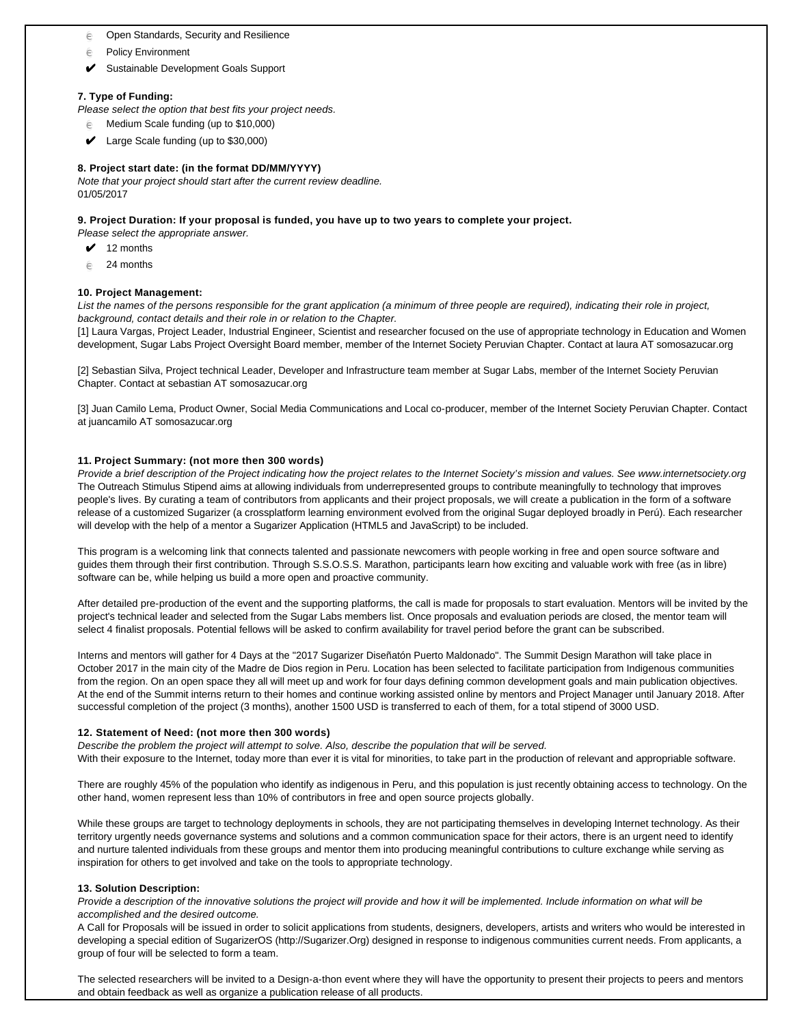- $e$  Open Standards, Security and Resilience
- $e$  Policy Environment
- ✔ Sustainable Development Goals Support

## **7. Type of Funding:**

Please select the option that best fits your project needs.

- $e^2$  Medium Scale funding (up to \$10,000)
- ✔ Large Scale funding (up to \$30,000)

## **8. Project start date: (in the format DD/MM/YYYY)**

Note that your project should start after the current review deadline. 01/05/2017

#### **9. Project Duration: If your proposal is funded, you have up to two years to complete your project.**

Please select the appropriate answer.

- $\swarrow$  12 months
- $e^2$  24 months

## **10. Project Management:**

List the names of the persons responsible for the grant application (a minimum of three people are required), indicating their role in project, background, contact details and their role in or relation to the Chapter.

[1] Laura Vargas, Project Leader, Industrial Engineer, Scientist and researcher focused on the use of appropriate technology in Education and Women development, Sugar Labs Project Oversight Board member, member of the Internet Society Peruvian Chapter. Contact at laura AT somosazucar.org

[2] Sebastian Silva, Project technical Leader, Developer and Infrastructure team member at Sugar Labs, member of the Internet Society Peruvian Chapter. Contact at sebastian AT somosazucar.org

[3] Juan Camilo Lema, Product Owner, Social Media Communications and Local co-producer, member of the Internet Society Peruvian Chapter. Contact at juancamilo AT somosazucar.org

#### **11. Project Summary: (not more then 300 words)**

Provide a brief description of the Project indicating how the project relates to the Internet Society's mission and values. See www.internetsociety.org The Outreach Stimulus Stipend aims at allowing individuals from underrepresented groups to contribute meaningfully to technology that improves people's lives. By curating a team of contributors from applicants and their project proposals, we will create a publication in the form of a software release of a customized Sugarizer (a crossplatform learning environment evolved from the original Sugar deployed broadly in Perú). Each researcher will develop with the help of a mentor a Sugarizer Application (HTML5 and JavaScript) to be included.

This program is a welcoming link that connects talented and passionate newcomers with people working in free and open source software and guides them through their first contribution. Through S.S.O.S.S. Marathon, participants learn how exciting and valuable work with free (as in libre) software can be, while helping us build a more open and proactive community.

After detailed pre-production of the event and the supporting platforms, the call is made for proposals to start evaluation. Mentors will be invited by the project's technical leader and selected from the Sugar Labs members list. Once proposals and evaluation periods are closed, the mentor team will select 4 finalist proposals. Potential fellows will be asked to confirm availability for travel period before the grant can be subscribed.

Interns and mentors will gather for 4 Days at the "2017 Sugarizer Diseñatón Puerto Maldonado". The Summit Design Marathon will take place in October 2017 in the main city of the Madre de Dios region in Peru. Location has been selected to facilitate participation from Indigenous communities from the region. On an open space they all will meet up and work for four days defining common development goals and main publication objectives. At the end of the Summit interns return to their homes and continue working assisted online by mentors and Project Manager until January 2018. After successful completion of the project (3 months), another 1500 USD is transferred to each of them, for a total stipend of 3000 USD.

### **12. Statement of Need: (not more then 300 words)**

Describe the problem the project will attempt to solve. Also, describe the population that will be served.

With their exposure to the Internet, today more than ever it is vital for minorities, to take part in the production of relevant and appropriable software.

There are roughly 45% of the population who identify as indigenous in Peru, and this population is just recently obtaining access to technology. On the other hand, women represent less than 10% of contributors in free and open source projects globally.

While these groups are target to technology deployments in schools, they are not participating themselves in developing Internet technology. As their territory urgently needs governance systems and solutions and a common communication space for their actors, there is an urgent need to identify and nurture talented individuals from these groups and mentor them into producing meaningful contributions to culture exchange while serving as inspiration for others to get involved and take on the tools to appropriate technology.

### **13. Solution Description:**

Provide a description of the innovative solutions the project will provide and how it will be implemented. Include information on what will be accomplished and the desired outcome.

A Call for Proposals will be issued in order to solicit applications from students, designers, developers, artists and writers who would be interested in developing a special edition of SugarizerOS (http://Sugarizer.Org) designed in response to indigenous communities current needs. From applicants, a group of four will be selected to form a team.

The selected researchers will be invited to a Design-a-thon event where they will have the opportunity to present their projects to peers and mentors and obtain feedback as well as organize a publication release of all products.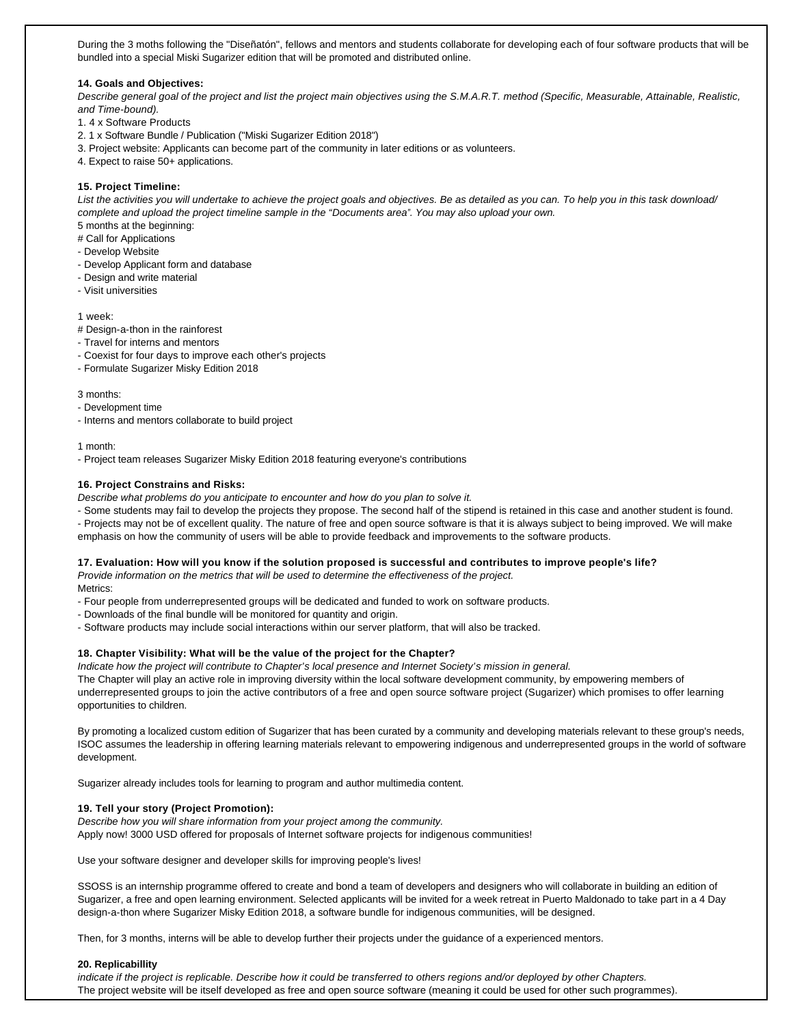During the 3 moths following the "Diseñatón", fellows and mentors and students collaborate for developing each of four software products that will be bundled into a special Miski Sugarizer edition that will be promoted and distributed online.

#### **14. Goals and Objectives:**

Describe general goal of the project and list the project main objectives using the S.M.A.R.T. method (Specific, Measurable, Attainable, Realistic, and Time-bound).

- 1. 4 x Software Products
- 2. 1 x Software Bundle / Publication ("Miski Sugarizer Edition 2018")
- 3. Project website: Applicants can become part of the community in later editions or as volunteers.
- 4. Expect to raise 50+ applications.

#### **15. Project Timeline:**

List the activities you will undertake to achieve the project goals and objectives. Be as detailed as you can. To help you in this task download/ complete and upload the project timeline sample in the "Documents area". You may also upload your own. 5 months at the beginning:

# Call for Applications

- Develop Website
- Develop Applicant form and database
- Design and write material
- Visit universities

#### 1 week:

- # Design-a-thon in the rainforest
- Travel for interns and mentors
- Coexist for four days to improve each other's projects
- Formulate Sugarizer Misky Edition 2018

# 3 months:

- Development time
- Interns and mentors collaborate to build project

#### 1 month:

- Project team releases Sugarizer Misky Edition 2018 featuring everyone's contributions

#### **16. Project Constrains and Risks:**

Describe what problems do you anticipate to encounter and how do you plan to solve it.

- Some students may fail to develop the projects they propose. The second half of the stipend is retained in this case and another student is found.

- Projects may not be of excellent quality. The nature of free and open source software is that it is always subject to being improved. We will make emphasis on how the community of users will be able to provide feedback and improvements to the software products.

#### **17. Evaluation: How will you know if the solution proposed is successful and contributes to improve people's life?**

Provide information on the metrics that will be used to determine the effectiveness of the project. Metrics:

- Four people from underrepresented groups will be dedicated and funded to work on software products.

- Downloads of the final bundle will be monitored for quantity and origin.
- Software products may include social interactions within our server platform, that will also be tracked.

# **18. Chapter Visibility: What will be the value of the project for the Chapter?**

Indicate how the project will contribute to Chapter's local presence and Internet Society's mission in general.

The Chapter will play an active role in improving diversity within the local software development community, by empowering members of underrepresented groups to join the active contributors of a free and open source software project (Sugarizer) which promises to offer learning opportunities to children.

By promoting a localized custom edition of Sugarizer that has been curated by a community and developing materials relevant to these group's needs, ISOC assumes the leadership in offering learning materials relevant to empowering indigenous and underrepresented groups in the world of software development.

Sugarizer already includes tools for learning to program and author multimedia content.

## **19. Tell your story (Project Promotion):**

Describe how you will share information from your project among the community. Apply now! 3000 USD offered for proposals of Internet software projects for indigenous communities!

Use your software designer and developer skills for improving people's lives!

SSOSS is an internship programme offered to create and bond a team of developers and designers who will collaborate in building an edition of Sugarizer, a free and open learning environment. Selected applicants will be invited for a week retreat in Puerto Maldonado to take part in a 4 Day design-a-thon where Sugarizer Misky Edition 2018, a software bundle for indigenous communities, will be designed.

Then, for 3 months, interns will be able to develop further their projects under the guidance of a experienced mentors.

#### **20. Replicabillity**

indicate if the project is replicable. Describe how it could be transferred to others regions and/or deployed by other Chapters. The project website will be itself developed as free and open source software (meaning it could be used for other such programmes).